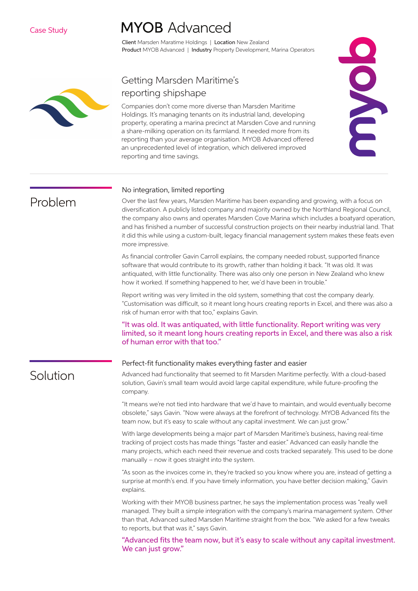# **MYOB** Advanced

Client Marsden Maratime Holdings | Location New Zealand Product MYOB Advanced | Industry Property Development, Marina Operators



Problem

Solution

### Getting Marsden Maritime's reporting shipshape

Companies don't come more diverse than Marsden Maritime Holdings. It's managing tenants on its industrial land, developing property, operating a marina precinct at Marsden Cove and running a share-milking operation on its farmland. It needed more from its reporting than your average organisation. MYOB Advanced offered an unprecedented level of integration, which delivered improved reporting and time savings.



#### No integration, limited reporting

Over the last few years, Marsden Maritime has been expanding and growing, with a focus on diversification. A publicly listed company and majority owned by the Northland Regional Council, the company also owns and operates Marsden Cove Marina which includes a boatyard operation, and has finished a number of successful construction projects on their nearby industrial land. That it did this while using a custom-built, legacy financial management system makes these feats even more impressive.

As financial controller Gavin Carroll explains, the company needed robust, supported finance software that would contribute to its growth, rather than holding it back. "It was old. It was antiquated, with little functionality. There was also only one person in New Zealand who knew how it worked. If something happened to her, we'd have been in trouble."

Report writing was very limited in the old system, something that cost the company dearly. "Customisation was difficult, so it meant long hours creating reports in Excel, and there was also a risk of human error with that too," explains Gavin.

"It was old. It was antiquated, with little functionality. Report writing was very limited, so it meant long hours creating reports in Excel, and there was also a risk of human error with that too."

### Perfect-fit functionality makes everything faster and easier

Advanced had functionality that seemed to fit Marsden Maritime perfectly. With a cloud-based solution, Gavin's small team would avoid large capital expenditure, while future-proofing the company.

"It means we're not tied into hardware that we'd have to maintain, and would eventually become obsolete," says Gavin. "Now were always at the forefront of technology. MYOB Advanced fits the team now, but it's easy to scale without any capital investment. We can just grow."

With large developments being a major part of Marsden Maritime's business, having real-time tracking of project costs has made things "faster and easier." Advanced can easily handle the many projects, which each need their revenue and costs tracked separately. This used to be done manually – now it goes straight into the system.

"As soon as the invoices come in, they're tracked so you know where you are, instead of getting a surprise at month's end. If you have timely information, you have better decision making," Gavin explains.

Working with their MYOB business partner, he says the implementation process was "really well managed. They built a simple integration with the company's marina management system. Other than that, Advanced suited Marsden Maritime straight from the box. "We asked for a few tweaks to reports, but that was it," says Gavin.

"Advanced fits the team now, but it's easy to scale without any capital investment. We can just grow."